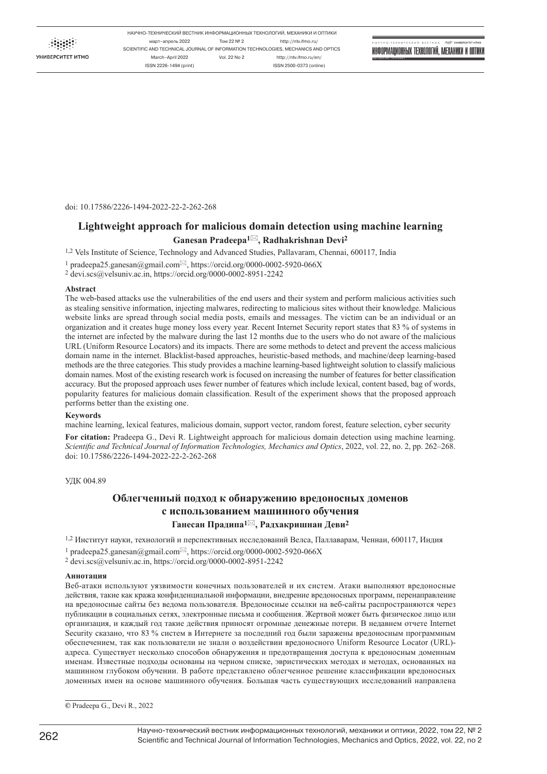УНИВЕРСИТЕТ ИТМО

НАУЧНО-ТЕХНИЧЕСКИЙ ВЕСТНИК ИНФОРМАЦИОННЫХ ТЕХНОЛОГИЙ, МЕХАНИКИ И ОПТИКИ март–апрель 2022 Том 22 № 2 http://ntv.ifmo.ru/ SCIENTIFIC AND TECHNICAL JOURNAL OF INFORMATION TECHNOLOGIES, MECHANICS AND OPTICS March–April 2022 Vol. 22 No 2 http://ntv.ifmo.ru/en/ ISSN 2226-1494 (print) ISSN 2500-0373 (online)

ИНФОРМАЦИОННЫХ ТЕХНОЛОГИЙ, МЕХАНИКИ И ОПТИКИ

УНИВЕРСИТЕТ ИТМО

март–апрель 2022 Том 22 Номер 2

doi: 10.17586/2226-1494-2022-22-2-262-268

# **Lightweight approach for malicious domain detection using machine learning Ganesan Pradeepa1, Radhakrishnan Devi<sup>2</sup>**

1,2 Vels Institute of Science, Technology and Advanced Studies, Pallavaram, Chennai, 600117, India

 $1$  [pradeepa25.ganesan@gmail.com](mailto:pradeepa25.ganesan@gmail.com) $\boxtimes$ , https://orcid.org/0000-0002-5920-066X

2 [devi.scs@velsuniv.ac.in,](mailto:devi.scs@velsuniv.ac.in)<https://orcid.org/0000-0002-8951-2242>

### **Abstract**

The web-based attacks use the vulnerabilities of the end users and their system and perform malicious activities such as stealing sensitive information, injecting malwares, redirecting to malicious sites without their knowledge. Malicious website links are spread through social media posts, emails and messages. The victim can be an individual or an organization and it creates huge money loss every year. Recent Internet Security report states that 83 % of systems in the internet are infected by the malware during the last 12 months due to the users who do not aware of the malicious URL (Uniform Resource Locators) and its impacts. There are some methods to detect and prevent the access malicious domain name in the internet. Blacklist-based approaches, heuristic-based methods, and machine/deep learning-based methods are the three categories. This study provides a machine learning-based lightweight solution to classify malicious domain names. Most of the existing research work is focused on increasing the number of features for better classification accuracy. But the proposed approach uses fewer number of features which include lexical, content based, bag of words, popularity features for malicious domain classification. Result of the experiment shows that the proposed approach performs better than the existing one.

# **Keywords**

machine learning, lexical features, malicious domain, support vector, random forest, feature selection, cyber security

For citation: Pradeepa G., Devi R. Lightweight approach for malicious domain detection using machine learning. *Scientific and Technical Journal of Information Technologies, Mechanics and Optics*, 2022, vol. 22, no. 2, pp. 262–268. doi: 10.17586/2226-1494-2022-22-2-262-268

УДК 004.89

# **Облегченный подход к обнаружению вредоносных доменов с использованием машинного обучения Ганесан Прадипа1, Радхакришнан Деви<sup>2</sup>**

1,2 Институт науки, технологий и перспективных исследований Велса, Паллаварам, Ченнаи, 600117, Индия

<sup>1</sup> [pradeepa25.ganesan@gmail.com](mailto:pradeepa25.ganesan@gmail.com) $\boxtimes$ , https://orcid.org/0000-0002-5920-066X

2 [devi.scs@velsuniv.ac.in,](mailto:devi.scs@velsuniv.ac.in)<https://orcid.org/0000-0002-8951-2242>

## **Аннотация**

Веб-атаки используют уязвимости конечных пользователей и их систем. Атаки выполняют вредоносные действия, такие как кража конфиденциальной информации, внедрение вредоносных программ, перенаправление на вредоносные сайты без ведома пользователя. Вредоносные ссылки на веб-сайты распространяются через публикации в социальных сетях, электронные письма и сообщения. Жертвой может быть физическое лицо или организация, и каждый год такие действия приносят огромные денежные потери. В недавнем отчете Internet Security сказано, что 83 % систем в Интернете за последний год были заражены вредоносным программным обеспечением, так как пользователи не знали о воздействии вредоносного Uniform Resource Locator (URL) адреса. Существует несколько способов обнаружения и предотвращения доступа к вредоносным доменным именам. Известные подходы основаны на черном списке, эвристических методах и методах, основанных на машинном глубоком обучении. В работе представлено облегченное решение классификации вредоносных доменных имен на основе машинного обучения. Большая часть существующих исследований направлена

**©** Pradeepa G., Devi R., 2022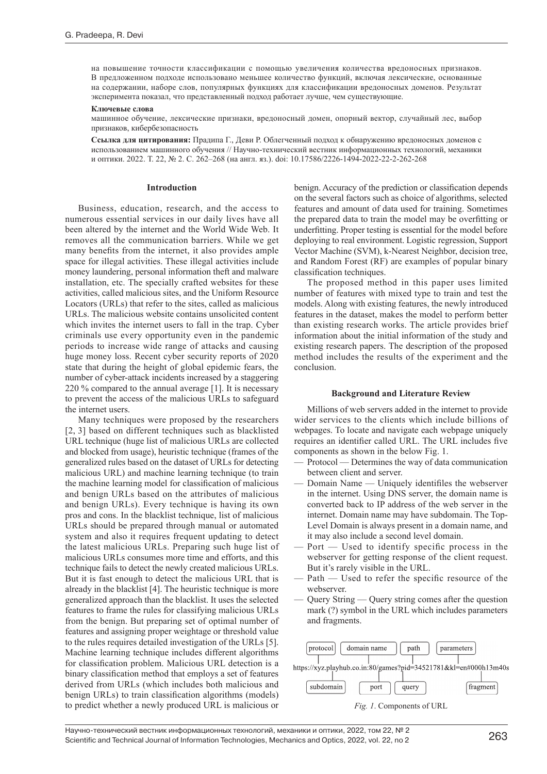на повышение точности классификации с помощью увеличения количества вредоносных признаков. В предложенном подходе использовано меньшее количество функций, включая лексические, основанные на содержании, наборе слов, популярных функциях для классификации вредоносных доменов. Результат эксперимента показал, что представленный подход работает лучше, чем существующие.

## **Ключевые слова**

машинное обучение, лексические признаки, вредоносный домен, опорный вектор, случайный лес, выбор признаков, кибербезопасность

**Ссылка для цитирования:** Прадипа Г., Деви Р. Облегченный подход к обнаружению вредоносных доменов с использованием машинного обучения // Научно-технический вестник информационных технологий, механики и оптики. 2022. Т. 22, № 2. С. 262–268 (на англ. яз.). doi: 10.17586/2226-1494-2022-22-2-262-268

# **Introduction**

Business, education, research, and the access to numerous essential services in our daily lives have all been altered by the internet and the World Wide Web. It removes all the communication barriers. While we get many benefits from the internet, it also provides ample space for illegal activities. These illegal activities include money laundering, personal information theft and malware installation, etc. The specially crafted websites for these activities, called malicious sites, and the Uniform Resource Locators (URLs) that refer to the sites, called as malicious URLs. The malicious website contains unsolicited content which invites the internet users to fall in the trap. Cyber criminals use every opportunity even in the pandemic periods to increase wide range of attacks and causing huge money loss. Recent cyber security reports of 2020 state that during the height of global epidemic fears, the number of cyber-attack incidents increased by a staggering 220 % compared to the annual average [1]. It is necessary to prevent the access of the malicious URLs to safeguard the internet users.

Many techniques were proposed by the researchers [2, 3] based on different techniques such as blacklisted URL technique (huge list of malicious URLs are collected and blocked from usage), heuristic technique (frames of the generalized rules based on the dataset of URLs for detecting malicious URL) and machine learning technique (to train the machine learning model for classification of malicious and benign URLs based on the attributes of malicious and benign URLs). Every technique is having its own pros and cons. In the blacklist technique, list of malicious URLs should be prepared through manual or automated system and also it requires frequent updating to detect the latest malicious URLs. Preparing such huge list of malicious URLs consumes more time and efforts, and this technique fails to detect the newly created malicious URLs. But it is fast enough to detect the malicious URL that is already in the blacklist [4]. The heuristic technique is more generalized approach than the blacklist. It uses the selected features to frame the rules for classifying malicious URLs from the benign. But preparing set of optimal number of features and assigning proper weightage or threshold value to the rules requires detailed investigation of the URLs [5]. Machine learning technique includes different algorithms for classification problem. Malicious URL detection is a binary classification method that employs a set of features derived from URLs (which includes both malicious and benign URLs) to train classification algorithms (models) to predict whether a newly produced URL is malicious or

benign. Accuracy of the prediction or classification depends on the several factors such as choice of algorithms, selected features and amount of data used for training. Sometimes the prepared data to train the model may be overfitting or underfitting. Proper testing is essential for the model before deploying to real environment. Logistic regression, Support Vector Machine (SVM), k-Nearest Neighbor, decision tree, and Random Forest (RF) are examples of popular binary classification techniques.

The proposed method in this paper uses limited number of features with mixed type to train and test the models. Along with existing features, the newly introduced features in the dataset, makes the model to perform better than existing research works. The article provides brief information about the initial information of the study and existing research papers. The description of the proposed method includes the results of the experiment and the conclusion.

## **Background and Literature Review**

Millions of web servers added in the internet to provide wider services to the clients which include billions of webpages. To locate and navigate each webpage uniquely requires an identifier called URL. The URL includes five components as shown in the below Fig. 1.

- Protocol Determines the way of data communication between client and server.
- Domain Name Uniquely identifiles the webserver in the internet. Using DNS server, the domain name is converted back to IP address of the web server in the internet. Domain name may have subdomain. The Top-Level Domain is always present in a domain name, and it may also include a second level domain.
- Port Used to identify specific process in the webserver for getting response of the client request. But it's rarely visible in the URL.
- Path Used to refer the specific resource of the webserver.
- Query String Query string comes after the question mark (?) symbol in the URL which includes parameters and fragments.



## *Fig. 1*. Components of URL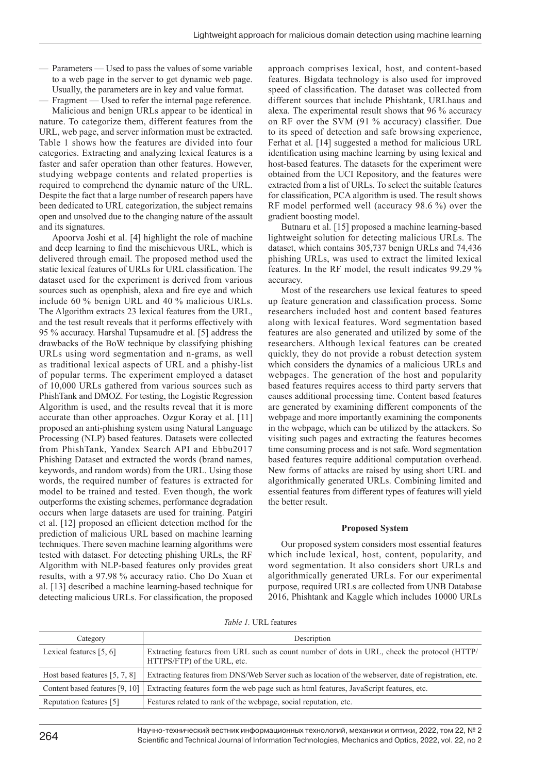- Parameters Used to pass the values of some variable to a web page in the server to get dynamic web page. Usually, the parameters are in key and value format.
- Fragment Used to refer the internal page reference.

Malicious and benign URLs appear to be identical in nature. To categorize them, different features from the URL, web page, and server information must be extracted. Table 1 shows how the features are divided into four categories. Extracting and analyzing lexical features is a faster and safer operation than other features. However, studying webpage contents and related properties is required to comprehend the dynamic nature of the URL. Despite the fact that a large number of research papers have been dedicated to URL categorization, the subject remains open and unsolved due to the changing nature of the assault and its signatures.

Apoorva Joshi et al. [4] highlight the role of machine and deep learning to find the mischievous URL, which is delivered through email. The proposed method used the static lexical features of URLs for URL classification. The dataset used for the experiment is derived from various sources such as openphish, alexa and fire eye and which include 60 % benign URL and 40 % malicious URLs. The Algorithm extracts 23 lexical features from the URL, and the test result reveals that it performs effectively with 95 % accuracy. Harshal Tupsamudre et al. [5] address the drawbacks of the BoW technique by classifying phishing URLs using word segmentation and n-grams, as well as traditional lexical aspects of URL and a phishy-list of popular terms. The experiment employed a dataset of 10,000 URLs gathered from various sources such as PhishTank and DMOZ. For testing, the Logistic Regression Algorithm is used, and the results reveal that it is more accurate than other approaches. Ozgur Koray [et al.](http://et.al) [11] proposed an anti-phishing system using Natural Language Processing (NLP) based features. Datasets were collected from PhishTank, Yandex Search API and Ebbu2017 Phishing Dataset and extracted the words (brand names, keywords, and random words) from the URL. Using those words, the required number of features is extracted for model to be trained and tested. Even though, the work outperforms the existing schemes, performance degradation occurs when large datasets are used for training. Patgiri et al. [12] proposed an efficient detection method for the prediction of malicious URL based on machine learning techniques. There seven machine learning algorithms were tested with dataset. For detecting phishing URLs, the RF Algorithm with NLP-based features only provides great results, with a 97.98 % accuracy ratio. Cho Do Xuan et al. [13] described a machine learning-based technique for detecting malicious URLs. For classification, the proposed

approach comprises lexical, host, and content-based features. Bigdata technology is also used for improved speed of classification. The dataset was collected from different sources that include Phishtank, URLhaus and alexa. The experimental result shows that 96 % accuracy on RF over the SVM (91 % accuracy) classifier. Due to its speed of detection and safe browsing experience, Ferhat et al. [14] suggested a method for malicious URL identification using machine learning by using lexical and host-based features. The datasets for the experiment were obtained from the UCI Repository, and the features were extracted from a list of URLs. To select the suitable features for classification, PCA algorithm is used. The result shows RF model performed well (accuracy 98.6 %) over the gradient boosting model.

Butnaru et al. [15] proposed a machine learning-based lightweight solution for detecting malicious URLs. The dataset, which contains 305,737 benign URLs and 74,436 phishing URLs, was used to extract the limited lexical features. In the RF model, the result indicates 99.29 % accuracy.

Most of the researchers use lexical features to speed up feature generation and classification process. Some researchers included host and content based features along with lexical features. Word segmentation based features are also generated and utilized by some of the researchers. Although lexical features can be created quickly, they do not provide a robust detection system which considers the dynamics of a malicious URLs and webpages. The generation of the host and popularity based features requires access to third party servers that causes additional processing time. Content based features are generated by examining different components of the webpage and more importantly examining the components in the webpage, which can be utilized by the attackers. So visiting such pages and extracting the features becomes time consuming process and is not safe. Word segmentation based features require additional computation overhead. New forms of attacks are raised by using short URL and algorithmically generated URLs. Combining limited and essential features from different types of features will yield the better result.

# **Proposed System**

Our proposed system considers most essential features which include lexical, host, content, popularity, and word segmentation. It also considers short URLs and algorithmically generated URLs. For our experimental purpose, required URLs are collected from UNB Database 2016, Phishtank and Kaggle which includes 10000 URLs

| Category                        | Description                                                                                                                |
|---------------------------------|----------------------------------------------------------------------------------------------------------------------------|
| Lexical features $[5, 6]$       | Extracting features from URL such as count number of dots in URL, check the protocol (HTTP/<br>HTTPS/FTP) of the URL, etc. |
| Host based features $[5, 7, 8]$ | Extracting features from DNS/Web Server such as location of the webserver, date of registration, etc.                      |
| Content based features [9, 10]  | Extracting features form the web page such as html features, JavaScript features, etc.                                     |
| Reputation features [5]         | Features related to rank of the webpage, social reputation, etc.                                                           |

Научно-технический вестник информационных технологий, механики и оптики, 2022, том 22, № 2 <sup>264</sup> Scientific and Technical Journal of Information Technologies, Mechanics and Optics, 2022, vol. 22, no 2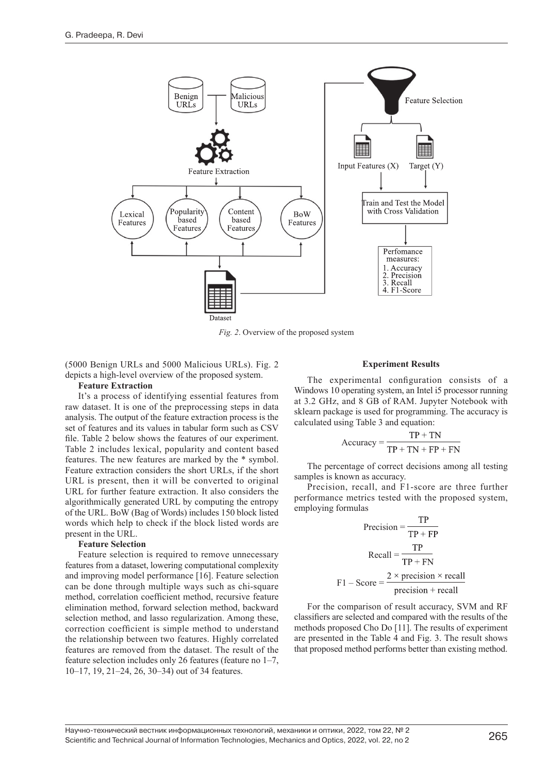

*Fig. 2*. Overview of the proposed system

(5000 Benign URLs and 5000 Malicious URLs). Fig. 2 depicts a high-level overview of the proposed system.

# **Feature Extraction**

It's a process of identifying essential features from raw dataset. It is one of the preprocessing steps in data analysis. The output of the feature extraction process is the set of features and its values in tabular form such as CSV file. Table 2 below shows the features of our experiment. Table 2 includes lexical, popularity and content based features. The new features are marked by the \* symbol. Feature extraction considers the short URLs, if the short URL is present, then it will be converted to original URL for further feature extraction. It also considers the algorithmically generated URL by computing the entropy of the URL. BoW (Bag of Words) includes 150 block listed words which help to check if the block listed words are present in the URL.

# **Feature Selection**

Feature selection is required to remove unnecessary features from a dataset, lowering computational complexity and improving model performance [16]. Feature selection can be done through multiple ways such as chi-square method, correlation coefficient method, recursive feature elimination method, forward selection method, backward selection method, and lasso regularization. Among these, correction coefficient is simple method to understand the relationship between two features. Highly correlated features are removed from the dataset. The result of the feature selection includes only 26 features (feature no 1–7, 10–17, 19, 21–24, 26, 30–34) out of 34 features.

#### **Experiment Results**

The experimental configuration consists of a Windows 10 operating system, an Intel i5 processor running at 3.2 GHz, and 8 GB of RAM. Jupyter Notebook with sklearn package is used for programming. The accuracy is calculated using Table 3 and equation:

$$
Accuracy = \frac{TP + TN}{TP + TN + FP + FN}
$$

The percentage of correct decisions among all testing samples is known as accuracy.

Precision, recall, and F1-score are three further performance metrics tested with the proposed system, employing formulas

$$
Precision = \frac{TP}{TP + FP}
$$
  
Recall =  $\frac{TP}{TP + FN}$   
F1 - Score =  $\frac{2 \times precision \times recall}{precision + recall}$ 

For the comparison of result accuracy, SVM and RF classifiers are selected and compared with the results of the methods proposed Cho Do [11]. The results of experiment are presented in the Table 4 and Fig. 3. The result shows that proposed method performs better than existing method.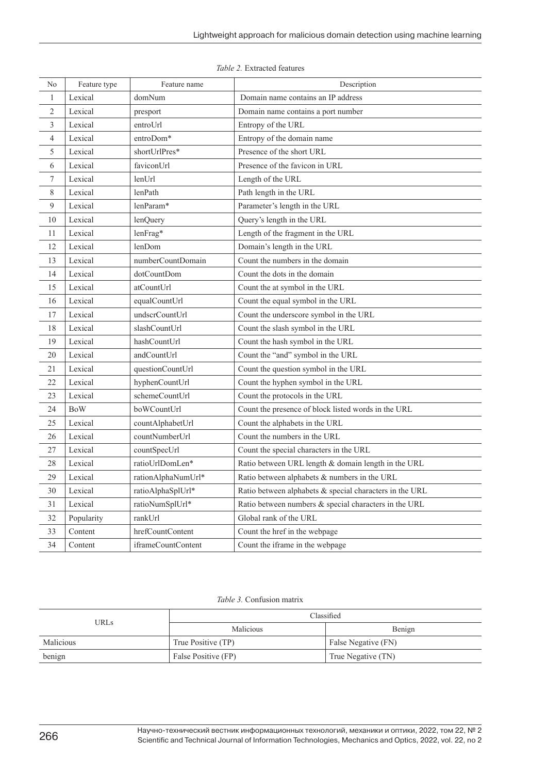| No               | Feature type | Feature name       | Description                                             |  |  |  |
|------------------|--------------|--------------------|---------------------------------------------------------|--|--|--|
| $\mathbf{1}$     | Lexical      | domNum             | Domain name contains an IP address                      |  |  |  |
| $\overline{2}$   | Lexical      | presport           | Domain name contains a port number                      |  |  |  |
| 3                | Lexical      | entroUrl           | Entropy of the URL                                      |  |  |  |
| $\overline{4}$   | Lexical      | entroDom*          | Entropy of the domain name                              |  |  |  |
| 5                | Lexical      | shortUrlPres*      | Presence of the short URL                               |  |  |  |
| 6                | Lexical      | faviconUrl         | Presence of the favicon in URL                          |  |  |  |
| $\boldsymbol{7}$ | Lexical      | lenUrl             | Length of the URL                                       |  |  |  |
| $8\,$            | Lexical      | lenPath            | Path length in the URL                                  |  |  |  |
| 9                | Lexical      | lenParam*          | Parameter's length in the URL                           |  |  |  |
| 10               | Lexical      | lenQuery           | Query's length in the URL                               |  |  |  |
| 11               | Lexical      | lenFrag*           | Length of the fragment in the URL                       |  |  |  |
| 12               | Lexical      | lenDom             | Domain's length in the URL                              |  |  |  |
| 13               | Lexical      | numberCountDomain  | Count the numbers in the domain                         |  |  |  |
| 14               | Lexical      | dotCountDom        | Count the dots in the domain                            |  |  |  |
| 15               | Lexical      | atCountUrl         | Count the at symbol in the URL                          |  |  |  |
| 16               | Lexical      | equalCountUrl      | Count the equal symbol in the URL                       |  |  |  |
| 17               | Lexical      | undscrCountUrl     | Count the underscore symbol in the URL                  |  |  |  |
| 18               | Lexical      | slashCountUrl      | Count the slash symbol in the URL                       |  |  |  |
| 19               | Lexical      | hashCountUrl       | Count the hash symbol in the URL                        |  |  |  |
| 20               | Lexical      | andCountUrl        | Count the "and" symbol in the URL                       |  |  |  |
| 21               | Lexical      | questionCountUrl   | Count the question symbol in the URL                    |  |  |  |
| 22               | Lexical      | hyphenCountUrl     | Count the hyphen symbol in the URL                      |  |  |  |
| 23               | Lexical      | schemeCountUrl     | Count the protocols in the URL                          |  |  |  |
| 24               | <b>BoW</b>   | boWCountUrl        | Count the presence of block listed words in the URL     |  |  |  |
| 25               | Lexical      | countAlphabetUrl   | Count the alphabets in the URL                          |  |  |  |
| 26               | Lexical      | countNumberUrl     | Count the numbers in the URL                            |  |  |  |
| 27               | Lexical      | countSpecUrl       | Count the special characters in the URL                 |  |  |  |
| 28               | Lexical      | ratioUrlDomLen*    | Ratio between URL length & domain length in the URL     |  |  |  |
| 29               | Lexical      | rationAlphaNumUrl* | Ratio between alphabets & numbers in the URL            |  |  |  |
| 30               | Lexical      | ratioAlphaSplUrl*  | Ratio between alphabets & special characters in the URL |  |  |  |
| 31               | Lexical      | ratioNumSplUrl*    | Ratio between numbers & special characters in the URL   |  |  |  |
| 32               | Popularity   | rankUrl            | Global rank of the URL                                  |  |  |  |
| 33               | Content      | hrefCountContent   | Count the href in the webpage                           |  |  |  |
| 34               | Content      | iframeCountContent | Count the iframe in the webpage                         |  |  |  |

*Table 3.* Confusion matrix

| <b>URLs</b> | Classified          |                     |  |  |
|-------------|---------------------|---------------------|--|--|
|             | Malicious           | Benign              |  |  |
| Malicious   | True Positive (TP)  | False Negative (FN) |  |  |
| benign      | False Positive (FP) | True Negative (TN)  |  |  |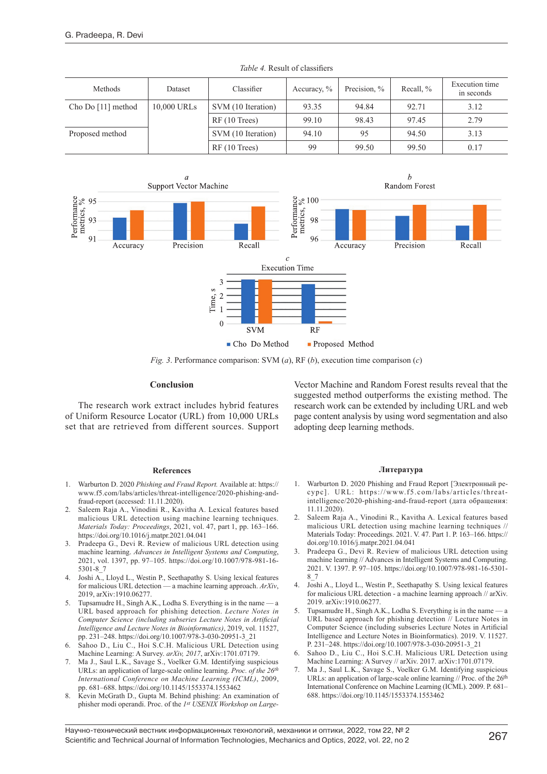| Methods            | Dataset     | Classifier         | Accuracy, $\%$ | Precision, % | Recall, % | Execution time<br>in seconds |
|--------------------|-------------|--------------------|----------------|--------------|-----------|------------------------------|
| Cho Do [11] method | 10,000 URLs | SVM (10 Iteration) | 93.35          | 94.84        | 92.71     | 3.12                         |
|                    |             | RF(10 Trees)       | 99.10          | 98.43        | 97.45     | 2.79                         |
| Proposed method    |             | SVM (10 Iteration) | 94.10          | 95           | 94.50     | 3.13                         |
|                    |             | RF(10 Trees)       | 99             | 99.50        | 99.50     | 0.17                         |

*Table 4.* Result of classifiers



*Fig. 3*. Performance comparison: SVM (*a*), RF (*b*), execution time comparison (*c*)

# **Conclusion**

The research work extract includes hybrid features of Uniform Resource Locator (URL) from 10,000 URLs set that are retrieved from different sources. Support

#### **References**

- 1. Warburton D. 2020 *Phishing and Fraud Report.* Available at: [https://](https://www.f5.com/labs/articles/threat-intelligence/2020-phishing-and-fraud-report) [www.f5.com/labs/articles/threat-intelligence/2020-phishing-and](https://www.f5.com/labs/articles/threat-intelligence/2020-phishing-and-fraud-report)[fraud-report](https://www.f5.com/labs/articles/threat-intelligence/2020-phishing-and-fraud-report) (accessed: 11.11.2020).
- 2. Saleem Raja A., Vinodini R., Kavitha A. Lexical features based malicious URL detection using machine learning techniques. *Materials Today: Proceedings*, 2021, vol. 47, part 1, pp. 163–166. <https://doi.org/10.1016/j.matpr.2021.04.041>
- 3. Pradeepa G., Devi R. Review of malicious URL detection using machine learning. *Advances in Intelligent Systems and Computing*, 2021, vol. 1397, pp. 97–105. [https://doi.org/10.1007/978-981-16-](https://doi.org/10.1007/978-981-16-5301-8_7) [5301-8\\_7](https://doi.org/10.1007/978-981-16-5301-8_7)
- 4. Joshi A., Lloyd L., Westin P., Seethapathy S. Using lexical features for malicious URL detection — a machine learning approach. *ArXiv*, 2019, arXiv:1910.06277.
- Tupsamudre H., Singh A.K., Lodha S. Everything is in the name  $-a$ URL based approach for phishing detection. *Lecture Notes in Computer Science (including subseries Lecture Notes in Artificial Intelligence and Lecture Notes in Bioinformatics)*, 2019, vol. 11527, pp. 231–248. [https://doi.org/10.1007/978-3-030-20951-3\\_21](https://doi.org/10.1007/978-3-030-20951-3_21)
- 6. Sahoo D., Liu C., Hoi S.C.H. Malicious URL Detection using Machine Learning: A Survey. *arXiv, 2017*, arXiv:1701.07179.
- 7. Ma J., Saul L.K., Savage S., Voelker G.M. Identifying suspicious URLs: an application of large-scale online learning. *Proc. of the 26th International Conference on Machine Learning (ICML)*, 2009, pp. 681–688.<https://doi.org/10.1145/1553374.1553462>
- 8. Kevin McGrath D., Gupta M. Behind phishing: An examination of phisher modi operandi. Proc. of the *1st USENIX Workshop on Large-*

Vector Machine and Random Forest results reveal that the suggested method outperforms the existing method. The research work can be extended by including URL and web page content analysis by using word segmentation and also adopting deep learning methods.

# **Литература**

- 1. Warburton D. 2020 Phishing and Fraud Report [Электронный ресурс]. URL: [https://www.f5.com/labs/articles/threat](https://www.f5.com/labs/articles/threat-intelligence/2020-phishing-and-fraud-report)[intelligence/2020-phishing-and-fraud-report](https://www.f5.com/labs/articles/threat-intelligence/2020-phishing-and-fraud-report) (дата обращения: 11.11.2020).
- 2. Saleem Raja A., Vinodini R., Kavitha A. Lexical features based malicious URL detection using machine learning techniques // Materials Today: Proceedings. 2021. V. 47. Part 1. P. 163–166. [https://](https://doi.org/10.1016/j.matpr.2021.04.041) [doi.org/10.1016/j.matpr.2021.04.041](https://doi.org/10.1016/j.matpr.2021.04.041)
- 3. Pradeepa G., Devi R. Review of malicious URL detection using machine learning // Advances in Intelligent Systems and Computing. 2021. V. 1397. P. 97–105. [https://doi.org/10.1007/978-981-16-5301-](https://doi.org/10.1007/978-981-16-5301-8_7) [8\\_7](https://doi.org/10.1007/978-981-16-5301-8_7)
- 4. Joshi A., Lloyd L., Westin P., Seethapathy S. Using lexical features for malicious URL detection - a machine learning approach // arXiv. 2019. arXiv:1910.06277.
- 5. Tupsamudre H., Singh A.K., Lodha S. Everything is in the name a URL based approach for phishing detection // Lecture Notes in Computer Science (including subseries Lecture Notes in Artificial Intelligence and Lecture Notes in Bioinformatics). 2019. V. 11527. P. 231–248. [https://doi.org/10.1007/978-3-030-20951-3\\_21](https://doi.org/10.1007/978-3-030-20951-3_21)
- 6. Sahoo D., Liu C., Hoi S.C.H. Malicious URL Detection using Machine Learning: A Survey // arXiv. 2017. arXiv:1701.07179.
- 7. Ma J., Saul L.K., Savage S., Voelker G.M. Identifying suspicious URLs: an application of large-scale online learning // Proc. of the 26<sup>th</sup> International Conference on Machine Learning (ICML). 2009. P. 681– 688.<https://doi.org/10.1145/1553374.1553462>